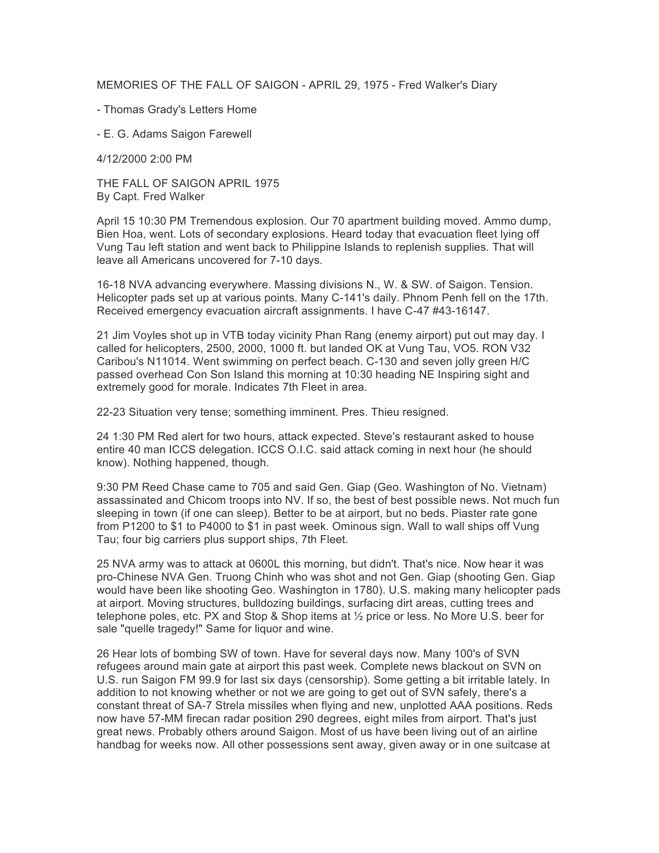MEMORIES OF THE FALL OF SAIGON - APRIL 29, 1975 - Fred Walker's Diary

- Thomas Grady's Letters Home

- E. G. Adams Saigon Farewell

4/12/2000 2:00 PM

THE FALL OF SAIGON APRIL 1975 By Capt. Fred Walker

April 15 10:30 PM Tremendous explosion. Our 70 apartment building moved. Ammo dump, Bien Hoa, went. Lots of secondary explosions. Heard today that evacuation fleet lying off Vung Tau left station and went back to Philippine Islands to replenish supplies. That will leave all Americans uncovered for 7-10 days.

16-18 NVA advancing everywhere. Massing divisions N., W. & SW. of Saigon. Tension. Helicopter pads set up at various points. Many C-141's daily. Phnom Penh fell on the 17th. Received emergency evacuation aircraft assignments. I have C-47 #43-16147.

21 Jim Voyles shot up in VTB today vicinity Phan Rang (enemy airport) put out may day. I called for helicopters, 2500, 2000, 1000 ft. but landed OK at Vung Tau, VO5. RON V32 Caribou's N11014. Went swimming on perfect beach. C-130 and seven jolly green H/C passed overhead Con Son Island this morning at 10:30 heading NE Inspiring sight and extremely good for morale. Indicates 7th Fleet in area.

22-23 Situation very tense; something imminent. Pres. Thieu resigned.

24 1:30 PM Red alert for two hours, attack expected. Steve's restaurant asked to house entire 40 man ICCS delegation. ICCS O.I.C. said attack coming in next hour (he should know). Nothing happened, though.

9:30 PM Reed Chase came to 705 and said Gen. Giap (Geo. Washington of No. Vietnam) assassinated and Chicom troops into NV. If so, the best of best possible news. Not much fun sleeping in town (if one can sleep). Better to be at airport, but no beds. Piaster rate gone from P1200 to \$1 to P4000 to \$1 in past week. Ominous sign. Wall to wall ships off Vung Tau; four big carriers plus support ships, 7th Fleet.

25 NVA army was to attack at 0600L this morning, but didn't. That's nice. Now hear it was pro-Chinese NVA Gen. Truong Chinh who was shot and not Gen. Giap (shooting Gen. Giap would have been like shooting Geo. Washington in 1780). U.S. making many helicopter pads at airport. Moving structures, bulldozing buildings, surfacing dirt areas, cutting trees and telephone poles, etc. PX and Stop & Shop items at ½ price or less. No More U.S. beer for sale "quelle tragedy!" Same for liquor and wine.

26 Hear lots of bombing SW of town. Have for several days now. Many 100's of SVN refugees around main gate at airport this past week. Complete news blackout on SVN on U.S. run Saigon FM 99.9 for last six days (censorship). Some getting a bit irritable lately. In addition to not knowing whether or not we are going to get out of SVN safely, there's a constant threat of SA-7 Strela missiles when flying and new, unplotted AAA positions. Reds now have 57-MM firecan radar position 290 degrees, eight miles from airport. That's just great news. Probably others around Saigon. Most of us have been living out of an airline handbag for weeks now. All other possessions sent away, given away or in one suitcase at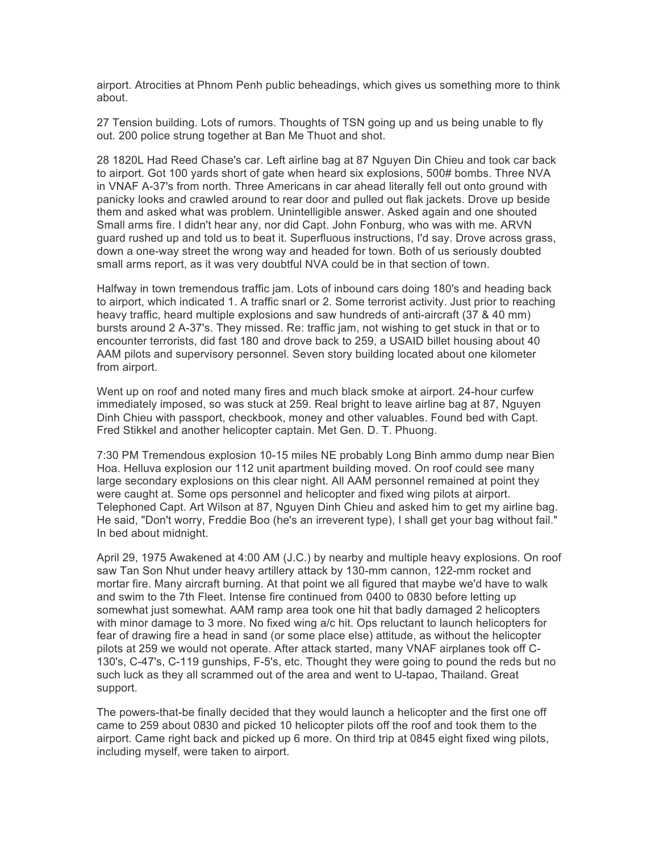airport. Atrocities at Phnom Penh public beheadings, which gives us something more to think about.

27 Tension building. Lots of rumors. Thoughts of TSN going up and us being unable to fly out. 200 police strung together at Ban Me Thuot and shot.

28 1820L Had Reed Chase's car. Left airline bag at 87 Nguyen Din Chieu and took car back to airport. Got 100 yards short of gate when heard six explosions, 500# bombs. Three NVA in VNAF A-37's from north. Three Americans in car ahead literally fell out onto ground with panicky looks and crawled around to rear door and pulled out flak jackets. Drove up beside them and asked what was problem. Unintelligible answer. Asked again and one shouted Small arms fire. I didn't hear any, nor did Capt. John Fonburg, who was with me. ARVN guard rushed up and told us to beat it. Superfluous instructions, I'd say. Drove across grass, down a one-way street the wrong way and headed for town. Both of us seriously doubted small arms report, as it was very doubtful NVA could be in that section of town.

Halfway in town tremendous traffic jam. Lots of inbound cars doing 180's and heading back to airport, which indicated 1. A traffic snarl or 2. Some terrorist activity. Just prior to reaching heavy traffic, heard multiple explosions and saw hundreds of anti-aircraft (37 & 40 mm) bursts around 2 A-37's. They missed. Re: traffic jam, not wishing to get stuck in that or to encounter terrorists, did fast 180 and drove back to 259, a USAID billet housing about 40 AAM pilots and supervisory personnel. Seven story building located about one kilometer from airport.

Went up on roof and noted many fires and much black smoke at airport. 24-hour curfew immediately imposed, so was stuck at 259. Real bright to leave airline bag at 87, Nguyen Dinh Chieu with passport, checkbook, money and other valuables. Found bed with Capt. Fred Stikkel and another helicopter captain. Met Gen. D. T. Phuong.

7:30 PM Tremendous explosion 10-15 miles NE probably Long Binh ammo dump near Bien Hoa. Helluva explosion our 112 unit apartment building moved. On roof could see many large secondary explosions on this clear night. All AAM personnel remained at point they were caught at. Some ops personnel and helicopter and fixed wing pilots at airport. Telephoned Capt. Art Wilson at 87, Nguyen Dinh Chieu and asked him to get my airline bag. He said, "Don't worry, Freddie Boo (he's an irreverent type), I shall get your bag without fail." In bed about midnight.

April 29, 1975 Awakened at 4:00 AM (J.C.) by nearby and multiple heavy explosions. On roof saw Tan Son Nhut under heavy artillery attack by 130-mm cannon, 122-mm rocket and mortar fire. Many aircraft burning. At that point we all figured that maybe we'd have to walk and swim to the 7th Fleet. Intense fire continued from 0400 to 0830 before letting up somewhat just somewhat. AAM ramp area took one hit that badly damaged 2 helicopters with minor damage to 3 more. No fixed wing a/c hit. Ops reluctant to launch helicopters for fear of drawing fire a head in sand (or some place else) attitude, as without the helicopter pilots at 259 we would not operate. After attack started, many VNAF airplanes took off C-130's, C-47's, C-119 gunships, F-5's, etc. Thought they were going to pound the reds but no such luck as they all scrammed out of the area and went to U-tapao, Thailand. Great support.

The powers-that-be finally decided that they would launch a helicopter and the first one off came to 259 about 0830 and picked 10 helicopter pilots off the roof and took them to the airport. Came right back and picked up 6 more. On third trip at 0845 eight fixed wing pilots, including myself, were taken to airport.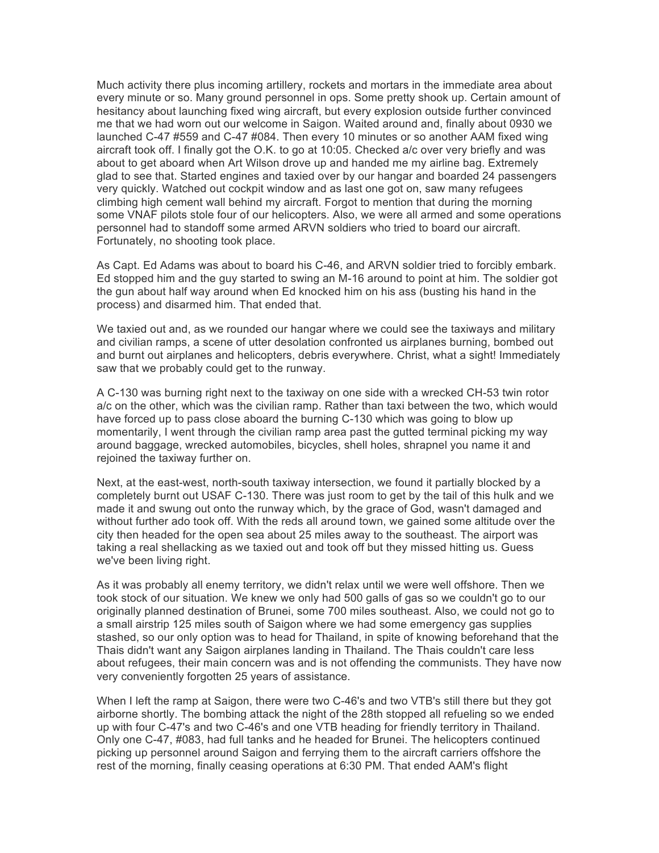Much activity there plus incoming artillery, rockets and mortars in the immediate area about every minute or so. Many ground personnel in ops. Some pretty shook up. Certain amount of hesitancy about launching fixed wing aircraft, but every explosion outside further convinced me that we had worn out our welcome in Saigon. Waited around and, finally about 0930 we launched C-47 #559 and C-47 #084. Then every 10 minutes or so another AAM fixed wing aircraft took off. I finally got the O.K. to go at 10:05. Checked a/c over very briefly and was about to get aboard when Art Wilson drove up and handed me my airline bag. Extremely glad to see that. Started engines and taxied over by our hangar and boarded 24 passengers very quickly. Watched out cockpit window and as last one got on, saw many refugees climbing high cement wall behind my aircraft. Forgot to mention that during the morning some VNAF pilots stole four of our helicopters. Also, we were all armed and some operations personnel had to standoff some armed ARVN soldiers who tried to board our aircraft. Fortunately, no shooting took place.

As Capt. Ed Adams was about to board his C-46, and ARVN soldier tried to forcibly embark. Ed stopped him and the guy started to swing an M-16 around to point at him. The soldier got the gun about half way around when Ed knocked him on his ass (busting his hand in the process) and disarmed him. That ended that.

We taxied out and, as we rounded our hangar where we could see the taxiways and military and civilian ramps, a scene of utter desolation confronted us airplanes burning, bombed out and burnt out airplanes and helicopters, debris everywhere. Christ, what a sight! Immediately saw that we probably could get to the runway.

A C-130 was burning right next to the taxiway on one side with a wrecked CH-53 twin rotor a/c on the other, which was the civilian ramp. Rather than taxi between the two, which would have forced up to pass close aboard the burning C-130 which was going to blow up momentarily, I went through the civilian ramp area past the gutted terminal picking my way around baggage, wrecked automobiles, bicycles, shell holes, shrapnel you name it and rejoined the taxiway further on.

Next, at the east-west, north-south taxiway intersection, we found it partially blocked by a completely burnt out USAF C-130. There was just room to get by the tail of this hulk and we made it and swung out onto the runway which, by the grace of God, wasn't damaged and without further ado took off. With the reds all around town, we gained some altitude over the city then headed for the open sea about 25 miles away to the southeast. The airport was taking a real shellacking as we taxied out and took off but they missed hitting us. Guess we've been living right.

As it was probably all enemy territory, we didn't relax until we were well offshore. Then we took stock of our situation. We knew we only had 500 galls of gas so we couldn't go to our originally planned destination of Brunei, some 700 miles southeast. Also, we could not go to a small airstrip 125 miles south of Saigon where we had some emergency gas supplies stashed, so our only option was to head for Thailand, in spite of knowing beforehand that the Thais didn't want any Saigon airplanes landing in Thailand. The Thais couldn't care less about refugees, their main concern was and is not offending the communists. They have now very conveniently forgotten 25 years of assistance.

When I left the ramp at Saigon, there were two C-46's and two VTB's still there but they got airborne shortly. The bombing attack the night of the 28th stopped all refueling so we ended up with four C-47's and two C-46's and one VTB heading for friendly territory in Thailand. Only one C-47, #083, had full tanks and he headed for Brunei. The helicopters continued picking up personnel around Saigon and ferrying them to the aircraft carriers offshore the rest of the morning, finally ceasing operations at 6:30 PM. That ended AAM's flight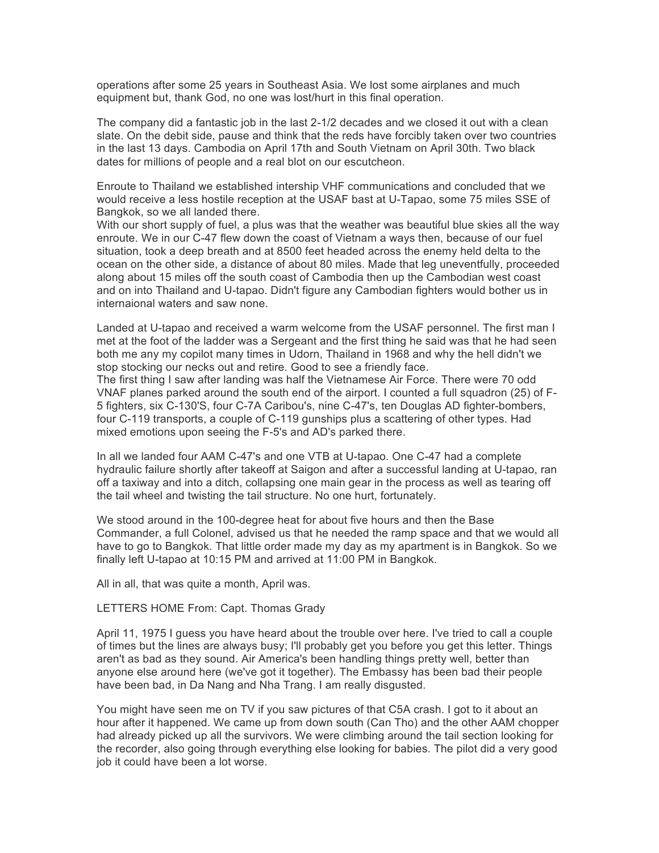operations after some 25 years in Southeast Asia. We lost some airplanes and much equipment but, thank God, no one was lost/hurt in this final operation.

The company did a fantastic job in the last 2-1/2 decades and we closed it out with a clean slate. On the debit side, pause and think that the reds have forcibly taken over two countries in the last 13 days. Cambodia on April 17th and South Vietnam on April 30th. Two black dates for millions of people and a real blot on our escutcheon.

Enroute to Thailand we established intership VHF communications and concluded that we would receive a less hostile reception at the USAF bast at U-Tapao, some 75 miles SSE of Bangkok, so we all landed there.

With our short supply of fuel, a plus was that the weather was beautiful blue skies all the way enroute. We in our C-47 flew down the coast of Vietnam a ways then, because of our fuel situation, took a deep breath and at 8500 feet headed across the enemy held delta to the ocean on the other side, a distance of about 80 miles. Made that leg uneventfully, proceeded along about 15 miles off the south coast of Cambodia then up the Cambodian west coast and on into Thailand and U-tapao. Didn't figure any Cambodian fighters would bother us in internaional waters and saw none.

Landed at U-tapao and received a warm welcome from the USAF personnel. The first man I met at the foot of the ladder was a Sergeant and the first thing he said was that he had seen both me any my copilot many times in Udorn, Thailand in 1968 and why the hell didn't we stop stocking our necks out and retire. Good to see a friendly face.

The first thing I saw after landing was half the Vietnamese Air Force. There were 70 odd VNAF planes parked around the south end of the airport. I counted a full squadron (25) of F-5 fighters, six C-130'S, four C-7A Caribou's, nine C-47's, ten Douglas AD fighter-bombers, four C-119 transports, a couple of C-119 gunships plus a scattering of other types. Had mixed emotions upon seeing the F-5's and AD's parked there.

In all we landed four AAM C-47's and one VTB at U-tapao. One C-47 had a complete hydraulic failure shortly after takeoff at Saigon and after a successful landing at U-tapao, ran off a taxiway and into a ditch, collapsing one main gear in the process as well as tearing off the tail wheel and twisting the tail structure. No one hurt, fortunately.

We stood around in the 100-degree heat for about five hours and then the Base Commander, a full Colonel, advised us that he needed the ramp space and that we would all have to go to Bangkok. That little order made my day as my apartment is in Bangkok. So we finally left U-tapao at 10:15 PM and arrived at 11:00 PM in Bangkok.

All in all, that was quite a month, April was.

## LETTERS HOME From: Capt. Thomas Grady

April 11, 1975 I guess you have heard about the trouble over here. I've tried to call a couple of times but the lines are always busy; I'll probably get you before you get this letter. Things aren't as bad as they sound. Air America's been handling things pretty well, better than anyone else around here (we've got it together). The Embassy has been bad their people have been bad, in Da Nang and Nha Trang. I am really disgusted.

You might have seen me on TV if you saw pictures of that C5A crash. I got to it about an hour after it happened. We came up from down south (Can Tho) and the other AAM chopper had already picked up all the survivors. We were climbing around the tail section looking for the recorder, also going through everything else looking for babies. The pilot did a very good job it could have been a lot worse.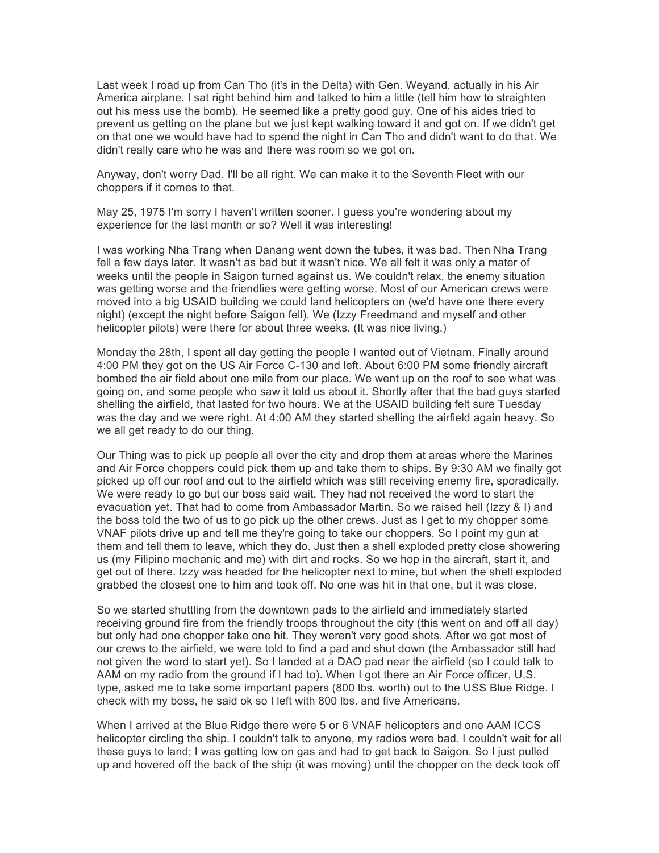Last week I road up from Can Tho (it's in the Delta) with Gen. Weyand, actually in his Air America airplane. I sat right behind him and talked to him a little (tell him how to straighten out his mess use the bomb). He seemed like a pretty good guy. One of his aides tried to prevent us getting on the plane but we just kept walking toward it and got on. If we didn't get on that one we would have had to spend the night in Can Tho and didn't want to do that. We didn't really care who he was and there was room so we got on.

Anyway, don't worry Dad. I'll be all right. We can make it to the Seventh Fleet with our choppers if it comes to that.

May 25, 1975 I'm sorry I haven't written sooner. I guess you're wondering about my experience for the last month or so? Well it was interesting!

I was working Nha Trang when Danang went down the tubes, it was bad. Then Nha Trang fell a few days later. It wasn't as bad but it wasn't nice. We all felt it was only a mater of weeks until the people in Saigon turned against us. We couldn't relax, the enemy situation was getting worse and the friendlies were getting worse. Most of our American crews were moved into a big USAID building we could land helicopters on (we'd have one there every night) (except the night before Saigon fell). We (Izzy Freedmand and myself and other helicopter pilots) were there for about three weeks. (It was nice living.)

Monday the 28th, I spent all day getting the people I wanted out of Vietnam. Finally around 4:00 PM they got on the US Air Force C-130 and left. About 6:00 PM some friendly aircraft bombed the air field about one mile from our place. We went up on the roof to see what was going on, and some people who saw it told us about it. Shortly after that the bad guys started shelling the airfield, that lasted for two hours. We at the USAID building felt sure Tuesday was the day and we were right. At 4:00 AM they started shelling the airfield again heavy. So we all get ready to do our thing.

Our Thing was to pick up people all over the city and drop them at areas where the Marines and Air Force choppers could pick them up and take them to ships. By 9:30 AM we finally got picked up off our roof and out to the airfield which was still receiving enemy fire, sporadically. We were ready to go but our boss said wait. They had not received the word to start the evacuation yet. That had to come from Ambassador Martin. So we raised hell (Izzy & I) and the boss told the two of us to go pick up the other crews. Just as I get to my chopper some VNAF pilots drive up and tell me they're going to take our choppers. So I point my gun at them and tell them to leave, which they do. Just then a shell exploded pretty close showering us (my Filipino mechanic and me) with dirt and rocks. So we hop in the aircraft, start it, and get out of there. Izzy was headed for the helicopter next to mine, but when the shell exploded grabbed the closest one to him and took off. No one was hit in that one, but it was close.

So we started shuttling from the downtown pads to the airfield and immediately started receiving ground fire from the friendly troops throughout the city (this went on and off all day) but only had one chopper take one hit. They weren't very good shots. After we got most of our crews to the airfield, we were told to find a pad and shut down (the Ambassador still had not given the word to start yet). So I landed at a DAO pad near the airfield (so I could talk to AAM on my radio from the ground if I had to). When I got there an Air Force officer, U.S. type, asked me to take some important papers (800 lbs. worth) out to the USS Blue Ridge. I check with my boss, he said ok so I left with 800 lbs. and five Americans.

When I arrived at the Blue Ridge there were 5 or 6 VNAF helicopters and one AAM ICCS helicopter circling the ship. I couldn't talk to anyone, my radios were bad. I couldn't wait for all these guys to land; I was getting low on gas and had to get back to Saigon. So I just pulled up and hovered off the back of the ship (it was moving) until the chopper on the deck took off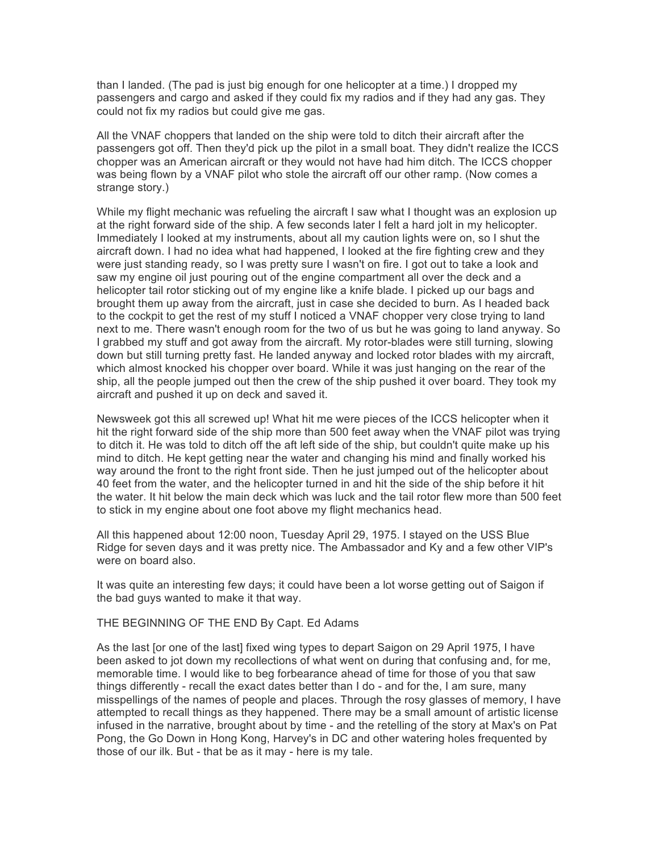than I landed. (The pad is just big enough for one helicopter at a time.) I dropped my passengers and cargo and asked if they could fix my radios and if they had any gas. They could not fix my radios but could give me gas.

All the VNAF choppers that landed on the ship were told to ditch their aircraft after the passengers got off. Then they'd pick up the pilot in a small boat. They didn't realize the ICCS chopper was an American aircraft or they would not have had him ditch. The ICCS chopper was being flown by a VNAF pilot who stole the aircraft off our other ramp. (Now comes a strange story.)

While my flight mechanic was refueling the aircraft I saw what I thought was an explosion up at the right forward side of the ship. A few seconds later I felt a hard jolt in my helicopter. Immediately I looked at my instruments, about all my caution lights were on, so I shut the aircraft down. I had no idea what had happened, I looked at the fire fighting crew and they were just standing ready, so I was pretty sure I wasn't on fire. I got out to take a look and saw my engine oil just pouring out of the engine compartment all over the deck and a helicopter tail rotor sticking out of my engine like a knife blade. I picked up our bags and brought them up away from the aircraft, just in case she decided to burn. As I headed back to the cockpit to get the rest of my stuff I noticed a VNAF chopper very close trying to land next to me. There wasn't enough room for the two of us but he was going to land anyway. So I grabbed my stuff and got away from the aircraft. My rotor-blades were still turning, slowing down but still turning pretty fast. He landed anyway and locked rotor blades with my aircraft, which almost knocked his chopper over board. While it was just hanging on the rear of the ship, all the people jumped out then the crew of the ship pushed it over board. They took my aircraft and pushed it up on deck and saved it.

Newsweek got this all screwed up! What hit me were pieces of the ICCS helicopter when it hit the right forward side of the ship more than 500 feet away when the VNAF pilot was trying to ditch it. He was told to ditch off the aft left side of the ship, but couldn't quite make up his mind to ditch. He kept getting near the water and changing his mind and finally worked his way around the front to the right front side. Then he just jumped out of the helicopter about 40 feet from the water, and the helicopter turned in and hit the side of the ship before it hit the water. It hit below the main deck which was luck and the tail rotor flew more than 500 feet to stick in my engine about one foot above my flight mechanics head.

All this happened about 12:00 noon, Tuesday April 29, 1975. I stayed on the USS Blue Ridge for seven days and it was pretty nice. The Ambassador and Ky and a few other VIP's were on board also.

It was quite an interesting few days; it could have been a lot worse getting out of Saigon if the bad guys wanted to make it that way.

## THE BEGINNING OF THE END By Capt. Ed Adams

As the last [or one of the last] fixed wing types to depart Saigon on 29 April 1975, I have been asked to jot down my recollections of what went on during that confusing and, for me, memorable time. I would like to beg forbearance ahead of time for those of you that saw things differently - recall the exact dates better than I do - and for the, I am sure, many misspellings of the names of people and places. Through the rosy glasses of memory, I have attempted to recall things as they happened. There may be a small amount of artistic license infused in the narrative, brought about by time - and the retelling of the story at Max's on Pat Pong, the Go Down in Hong Kong, Harvey's in DC and other watering holes frequented by those of our ilk. But - that be as it may - here is my tale.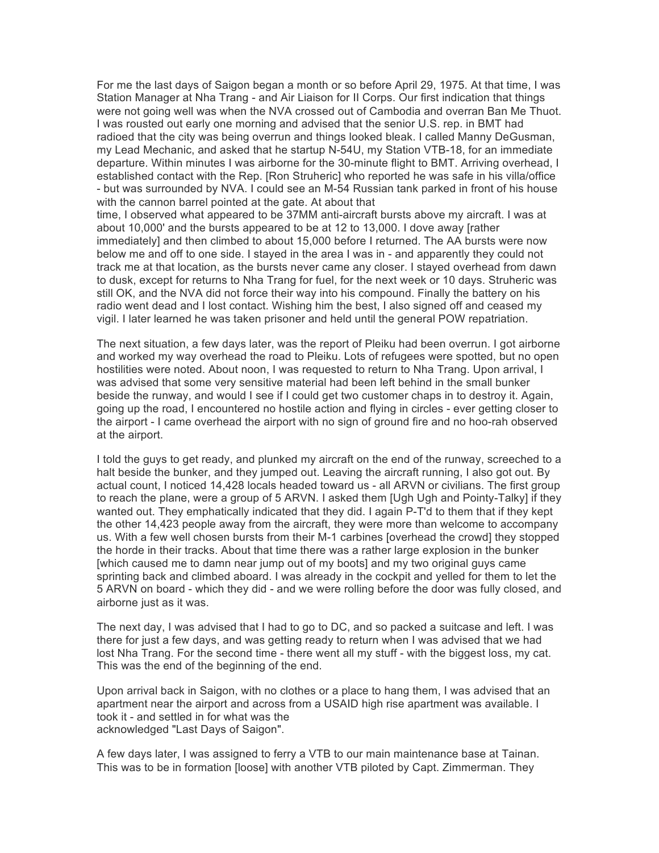For me the last days of Saigon began a month or so before April 29, 1975. At that time, I was Station Manager at Nha Trang - and Air Liaison for II Corps. Our first indication that things were not going well was when the NVA crossed out of Cambodia and overran Ban Me Thuot. I was rousted out early one morning and advised that the senior U.S. rep. in BMT had radioed that the city was being overrun and things looked bleak. I called Manny DeGusman, my Lead Mechanic, and asked that he startup N-54U, my Station VTB-18, for an immediate departure. Within minutes I was airborne for the 30-minute flight to BMT. Arriving overhead, I established contact with the Rep. [Ron Struheric] who reported he was safe in his villa/office - but was surrounded by NVA. I could see an M-54 Russian tank parked in front of his house with the cannon barrel pointed at the gate. At about that

time, I observed what appeared to be 37MM anti-aircraft bursts above my aircraft. I was at about 10,000' and the bursts appeared to be at 12 to 13,000. I dove away [rather immediately] and then climbed to about 15,000 before I returned. The AA bursts were now below me and off to one side. I stayed in the area I was in - and apparently they could not track me at that location, as the bursts never came any closer. I stayed overhead from dawn to dusk, except for returns to Nha Trang for fuel, for the next week or 10 days. Struheric was still OK, and the NVA did not force their way into his compound. Finally the battery on his radio went dead and I lost contact. Wishing him the best, I also signed off and ceased my vigil. I later learned he was taken prisoner and held until the general POW repatriation.

The next situation, a few days later, was the report of Pleiku had been overrun. I got airborne and worked my way overhead the road to Pleiku. Lots of refugees were spotted, but no open hostilities were noted. About noon, I was requested to return to Nha Trang. Upon arrival, I was advised that some very sensitive material had been left behind in the small bunker beside the runway, and would I see if I could get two customer chaps in to destroy it. Again, going up the road, I encountered no hostile action and flying in circles - ever getting closer to the airport - I came overhead the airport with no sign of ground fire and no hoo-rah observed at the airport.

I told the guys to get ready, and plunked my aircraft on the end of the runway, screeched to a halt beside the bunker, and they jumped out. Leaving the aircraft running, I also got out. By actual count, I noticed 14,428 locals headed toward us - all ARVN or civilians. The first group to reach the plane, were a group of 5 ARVN. I asked them [Ugh Ugh and Pointy-Talky] if they wanted out. They emphatically indicated that they did. I again P-T'd to them that if they kept the other 14,423 people away from the aircraft, they were more than welcome to accompany us. With a few well chosen bursts from their M-1 carbines [overhead the crowd] they stopped the horde in their tracks. About that time there was a rather large explosion in the bunker [which caused me to damn near jump out of my boots] and my two original guys came sprinting back and climbed aboard. I was already in the cockpit and yelled for them to let the 5 ARVN on board - which they did - and we were rolling before the door was fully closed, and airborne just as it was.

The next day, I was advised that I had to go to DC, and so packed a suitcase and left. I was there for just a few days, and was getting ready to return when I was advised that we had lost Nha Trang. For the second time - there went all my stuff - with the biggest loss, my cat. This was the end of the beginning of the end.

Upon arrival back in Saigon, with no clothes or a place to hang them, I was advised that an apartment near the airport and across from a USAID high rise apartment was available. I took it - and settled in for what was the acknowledged "Last Days of Saigon".

A few days later, I was assigned to ferry a VTB to our main maintenance base at Tainan. This was to be in formation [loose] with another VTB piloted by Capt. Zimmerman. They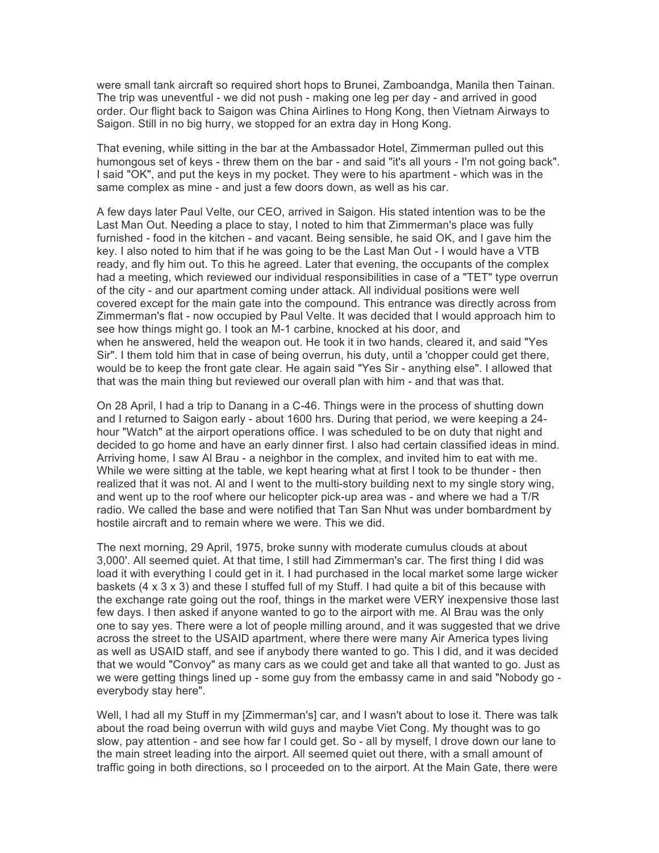were small tank aircraft so required short hops to Brunei, Zamboandga, Manila then Tainan. The trip was uneventful - we did not push - making one leg per day - and arrived in good order. Our flight back to Saigon was China Airlines to Hong Kong, then Vietnam Airways to Saigon. Still in no big hurry, we stopped for an extra day in Hong Kong.

That evening, while sitting in the bar at the Ambassador Hotel, Zimmerman pulled out this humongous set of keys - threw them on the bar - and said "it's all yours - I'm not going back". I said "OK", and put the keys in my pocket. They were to his apartment - which was in the same complex as mine - and just a few doors down, as well as his car.

A few days later Paul Velte, our CEO, arrived in Saigon. His stated intention was to be the Last Man Out. Needing a place to stay, I noted to him that Zimmerman's place was fully furnished - food in the kitchen - and vacant. Being sensible, he said OK, and I gave him the key. I also noted to him that if he was going to be the Last Man Out - I would have a VTB ready, and fly him out. To this he agreed. Later that evening, the occupants of the complex had a meeting, which reviewed our individual responsibilities in case of a "TET" type overrun of the city - and our apartment coming under attack. All individual positions were well covered except for the main gate into the compound. This entrance was directly across from Zimmerman's flat - now occupied by Paul Velte. It was decided that I would approach him to see how things might go. I took an M-1 carbine, knocked at his door, and when he answered, held the weapon out. He took it in two hands, cleared it, and said "Yes Sir". I them told him that in case of being overrun, his duty, until a 'chopper could get there, would be to keep the front gate clear. He again said "Yes Sir - anything else". I allowed that that was the main thing but reviewed our overall plan with him - and that was that.

On 28 April, I had a trip to Danang in a C-46. Things were in the process of shutting down and I returned to Saigon early - about 1600 hrs. During that period, we were keeping a 24 hour "Watch" at the airport operations office. I was scheduled to be on duty that night and decided to go home and have an early dinner first. I also had certain classified ideas in mind. Arriving home, I saw Al Brau - a neighbor in the complex, and invited him to eat with me. While we were sitting at the table, we kept hearing what at first I took to be thunder - then realized that it was not. Al and I went to the multi-story building next to my single story wing, and went up to the roof where our helicopter pick-up area was - and where we had a T/R radio. We called the base and were notified that Tan San Nhut was under bombardment by hostile aircraft and to remain where we were. This we did.

The next morning, 29 April, 1975, broke sunny with moderate cumulus clouds at about 3,000'. All seemed quiet. At that time, I still had Zimmerman's car. The first thing I did was load it with everything I could get in it. I had purchased in the local market some large wicker baskets (4 x 3 x 3) and these I stuffed full of my Stuff. I had quite a bit of this because with the exchange rate going out the roof, things in the market were VERY inexpensive those last few days. I then asked if anyone wanted to go to the airport with me. Al Brau was the only one to say yes. There were a lot of people milling around, and it was suggested that we drive across the street to the USAID apartment, where there were many Air America types living as well as USAID staff, and see if anybody there wanted to go. This I did, and it was decided that we would "Convoy" as many cars as we could get and take all that wanted to go. Just as we were getting things lined up - some guy from the embassy came in and said "Nobody go everybody stay here".

Well, I had all my Stuff in my [Zimmerman's] car, and I wasn't about to lose it. There was talk about the road being overrun with wild guys and maybe Viet Cong. My thought was to go slow, pay attention - and see how far I could get. So - all by myself, I drove down our lane to the main street leading into the airport. All seemed quiet out there, with a small amount of traffic going in both directions, so I proceeded on to the airport. At the Main Gate, there were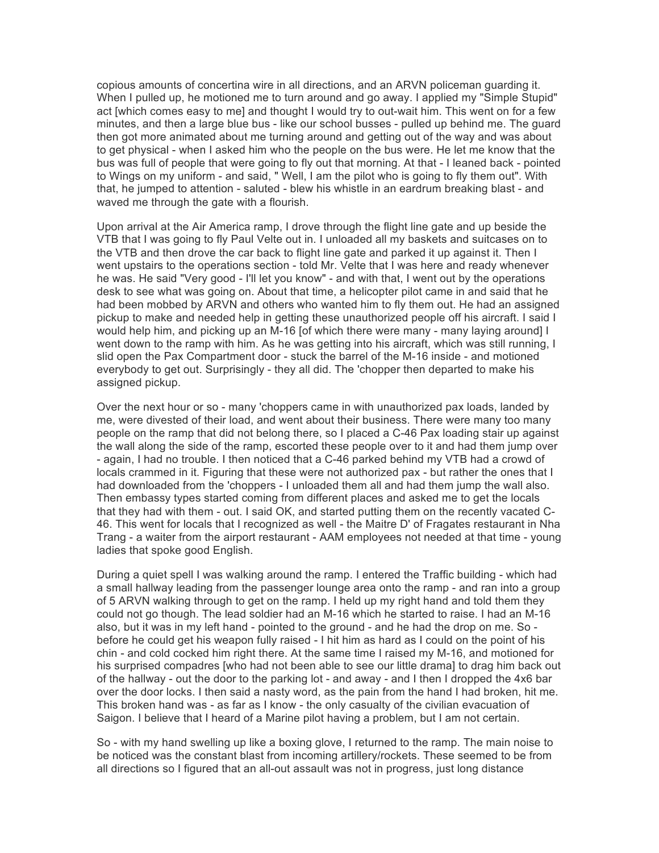copious amounts of concertina wire in all directions, and an ARVN policeman guarding it. When I pulled up, he motioned me to turn around and go away. I applied my "Simple Stupid" act [which comes easy to me] and thought I would try to out-wait him. This went on for a few minutes, and then a large blue bus - like our school busses - pulled up behind me. The guard then got more animated about me turning around and getting out of the way and was about to get physical - when I asked him who the people on the bus were. He let me know that the bus was full of people that were going to fly out that morning. At that - I leaned back - pointed to Wings on my uniform - and said, " Well, I am the pilot who is going to fly them out". With that, he jumped to attention - saluted - blew his whistle in an eardrum breaking blast - and waved me through the gate with a flourish.

Upon arrival at the Air America ramp, I drove through the flight line gate and up beside the VTB that I was going to fly Paul Velte out in. I unloaded all my baskets and suitcases on to the VTB and then drove the car back to flight line gate and parked it up against it. Then I went upstairs to the operations section - told Mr. Velte that I was here and ready whenever he was. He said "Very good - I'll let you know" - and with that, I went out by the operations desk to see what was going on. About that time, a helicopter pilot came in and said that he had been mobbed by ARVN and others who wanted him to fly them out. He had an assigned pickup to make and needed help in getting these unauthorized people off his aircraft. I said I would help him, and picking up an M-16 [of which there were many - many laying around] I went down to the ramp with him. As he was getting into his aircraft, which was still running, I slid open the Pax Compartment door - stuck the barrel of the M-16 inside - and motioned everybody to get out. Surprisingly - they all did. The 'chopper then departed to make his assigned pickup.

Over the next hour or so - many 'choppers came in with unauthorized pax loads, landed by me, were divested of their load, and went about their business. There were many too many people on the ramp that did not belong there, so I placed a C-46 Pax loading stair up against the wall along the side of the ramp, escorted these people over to it and had them jump over - again, I had no trouble. I then noticed that a C-46 parked behind my VTB had a crowd of locals crammed in it. Figuring that these were not authorized pax - but rather the ones that I had downloaded from the 'choppers - I unloaded them all and had them jump the wall also. Then embassy types started coming from different places and asked me to get the locals that they had with them - out. I said OK, and started putting them on the recently vacated C-46. This went for locals that I recognized as well - the Maitre D' of Fragates restaurant in Nha Trang - a waiter from the airport restaurant - AAM employees not needed at that time - young ladies that spoke good English.

During a quiet spell I was walking around the ramp. I entered the Traffic building - which had a small hallway leading from the passenger lounge area onto the ramp - and ran into a group of 5 ARVN walking through to get on the ramp. I held up my right hand and told them they could not go though. The lead soldier had an M-16 which he started to raise. I had an M-16 also, but it was in my left hand - pointed to the ground - and he had the drop on me. So before he could get his weapon fully raised - I hit him as hard as I could on the point of his chin - and cold cocked him right there. At the same time I raised my M-16, and motioned for his surprised compadres [who had not been able to see our little drama] to drag him back out of the hallway - out the door to the parking lot - and away - and I then I dropped the 4x6 bar over the door locks. I then said a nasty word, as the pain from the hand I had broken, hit me. This broken hand was - as far as I know - the only casualty of the civilian evacuation of Saigon. I believe that I heard of a Marine pilot having a problem, but I am not certain.

So - with my hand swelling up like a boxing glove, I returned to the ramp. The main noise to be noticed was the constant blast from incoming artillery/rockets. These seemed to be from all directions so I figured that an all-out assault was not in progress, just long distance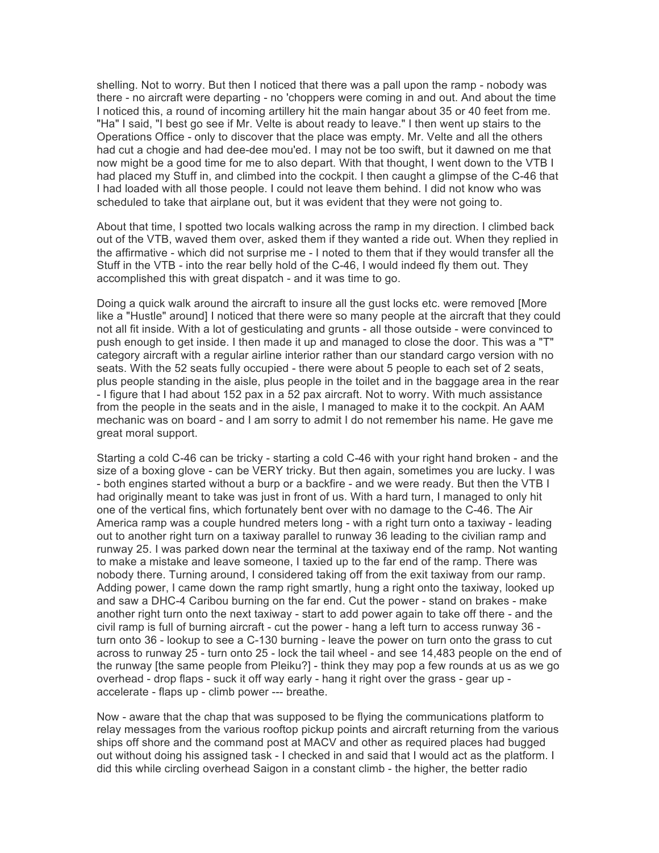shelling. Not to worry. But then I noticed that there was a pall upon the ramp - nobody was there - no aircraft were departing - no 'choppers were coming in and out. And about the time I noticed this, a round of incoming artillery hit the main hangar about 35 or 40 feet from me. "Ha" I said, "I best go see if Mr. Velte is about ready to leave." I then went up stairs to the Operations Office - only to discover that the place was empty. Mr. Velte and all the others had cut a chogie and had dee-dee mou'ed. I may not be too swift, but it dawned on me that now might be a good time for me to also depart. With that thought, I went down to the VTB I had placed my Stuff in, and climbed into the cockpit. I then caught a glimpse of the C-46 that I had loaded with all those people. I could not leave them behind. I did not know who was scheduled to take that airplane out, but it was evident that they were not going to.

About that time, I spotted two locals walking across the ramp in my direction. I climbed back out of the VTB, waved them over, asked them if they wanted a ride out. When they replied in the affirmative - which did not surprise me - I noted to them that if they would transfer all the Stuff in the VTB - into the rear belly hold of the C-46, I would indeed fly them out. They accomplished this with great dispatch - and it was time to go.

Doing a quick walk around the aircraft to insure all the gust locks etc. were removed [More like a "Hustle" around] I noticed that there were so many people at the aircraft that they could not all fit inside. With a lot of gesticulating and grunts - all those outside - were convinced to push enough to get inside. I then made it up and managed to close the door. This was a "T" category aircraft with a regular airline interior rather than our standard cargo version with no seats. With the 52 seats fully occupied - there were about 5 people to each set of 2 seats, plus people standing in the aisle, plus people in the toilet and in the baggage area in the rear - I figure that I had about 152 pax in a 52 pax aircraft. Not to worry. With much assistance from the people in the seats and in the aisle, I managed to make it to the cockpit. An AAM mechanic was on board - and I am sorry to admit I do not remember his name. He gave me great moral support.

Starting a cold C-46 can be tricky - starting a cold C-46 with your right hand broken - and the size of a boxing glove - can be VERY tricky. But then again, sometimes you are lucky. I was - both engines started without a burp or a backfire - and we were ready. But then the VTB I had originally meant to take was just in front of us. With a hard turn, I managed to only hit one of the vertical fins, which fortunately bent over with no damage to the C-46. The Air America ramp was a couple hundred meters long - with a right turn onto a taxiway - leading out to another right turn on a taxiway parallel to runway 36 leading to the civilian ramp and runway 25. I was parked down near the terminal at the taxiway end of the ramp. Not wanting to make a mistake and leave someone, I taxied up to the far end of the ramp. There was nobody there. Turning around, I considered taking off from the exit taxiway from our ramp. Adding power, I came down the ramp right smartly, hung a right onto the taxiway, looked up and saw a DHC-4 Caribou burning on the far end. Cut the power - stand on brakes - make another right turn onto the next taxiway - start to add power again to take off there - and the civil ramp is full of burning aircraft - cut the power - hang a left turn to access runway 36 turn onto 36 - lookup to see a C-130 burning - leave the power on turn onto the grass to cut across to runway 25 - turn onto 25 - lock the tail wheel - and see 14,483 people on the end of the runway [the same people from Pleiku?] - think they may pop a few rounds at us as we go overhead - drop flaps - suck it off way early - hang it right over the grass - gear up accelerate - flaps up - climb power --- breathe.

Now - aware that the chap that was supposed to be flying the communications platform to relay messages from the various rooftop pickup points and aircraft returning from the various ships off shore and the command post at MACV and other as required places had bugged out without doing his assigned task - I checked in and said that I would act as the platform. I did this while circling overhead Saigon in a constant climb - the higher, the better radio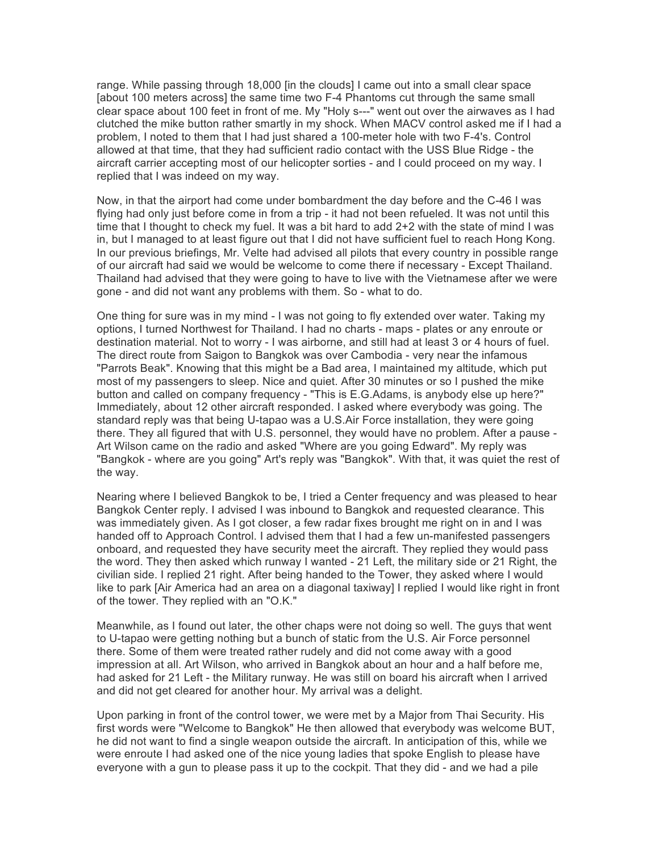range. While passing through 18,000 [in the clouds] I came out into a small clear space [about 100 meters across] the same time two F-4 Phantoms cut through the same small clear space about 100 feet in front of me. My "Holy s---" went out over the airwaves as I had clutched the mike button rather smartly in my shock. When MACV control asked me if I had a problem, I noted to them that I had just shared a 100-meter hole with two F-4's. Control allowed at that time, that they had sufficient radio contact with the USS Blue Ridge - the aircraft carrier accepting most of our helicopter sorties - and I could proceed on my way. I replied that I was indeed on my way.

Now, in that the airport had come under bombardment the day before and the C-46 I was flying had only just before come in from a trip - it had not been refueled. It was not until this time that I thought to check my fuel. It was a bit hard to add 2+2 with the state of mind I was in, but I managed to at least figure out that I did not have sufficient fuel to reach Hong Kong. In our previous briefings, Mr. Velte had advised all pilots that every country in possible range of our aircraft had said we would be welcome to come there if necessary - Except Thailand. Thailand had advised that they were going to have to live with the Vietnamese after we were gone - and did not want any problems with them. So - what to do.

One thing for sure was in my mind - I was not going to fly extended over water. Taking my options, I turned Northwest for Thailand. I had no charts - maps - plates or any enroute or destination material. Not to worry - I was airborne, and still had at least 3 or 4 hours of fuel. The direct route from Saigon to Bangkok was over Cambodia - very near the infamous "Parrots Beak". Knowing that this might be a Bad area, I maintained my altitude, which put most of my passengers to sleep. Nice and quiet. After 30 minutes or so I pushed the mike button and called on company frequency - "This is E.G.Adams, is anybody else up here?" Immediately, about 12 other aircraft responded. I asked where everybody was going. The standard reply was that being U-tapao was a U.S.Air Force installation, they were going there. They all figured that with U.S. personnel, they would have no problem. After a pause -Art Wilson came on the radio and asked "Where are you going Edward". My reply was "Bangkok - where are you going" Art's reply was "Bangkok". With that, it was quiet the rest of the way.

Nearing where I believed Bangkok to be, I tried a Center frequency and was pleased to hear Bangkok Center reply. I advised I was inbound to Bangkok and requested clearance. This was immediately given. As I got closer, a few radar fixes brought me right on in and I was handed off to Approach Control. I advised them that I had a few un-manifested passengers onboard, and requested they have security meet the aircraft. They replied they would pass the word. They then asked which runway I wanted - 21 Left, the military side or 21 Right, the civilian side. I replied 21 right. After being handed to the Tower, they asked where I would like to park [Air America had an area on a diagonal taxiway] I replied I would like right in front of the tower. They replied with an "O.K."

Meanwhile, as I found out later, the other chaps were not doing so well. The guys that went to U-tapao were getting nothing but a bunch of static from the U.S. Air Force personnel there. Some of them were treated rather rudely and did not come away with a good impression at all. Art Wilson, who arrived in Bangkok about an hour and a half before me, had asked for 21 Left - the Military runway. He was still on board his aircraft when I arrived and did not get cleared for another hour. My arrival was a delight.

Upon parking in front of the control tower, we were met by a Major from Thai Security. His first words were "Welcome to Bangkok" He then allowed that everybody was welcome BUT, he did not want to find a single weapon outside the aircraft. In anticipation of this, while we were enroute I had asked one of the nice young ladies that spoke English to please have everyone with a gun to please pass it up to the cockpit. That they did - and we had a pile